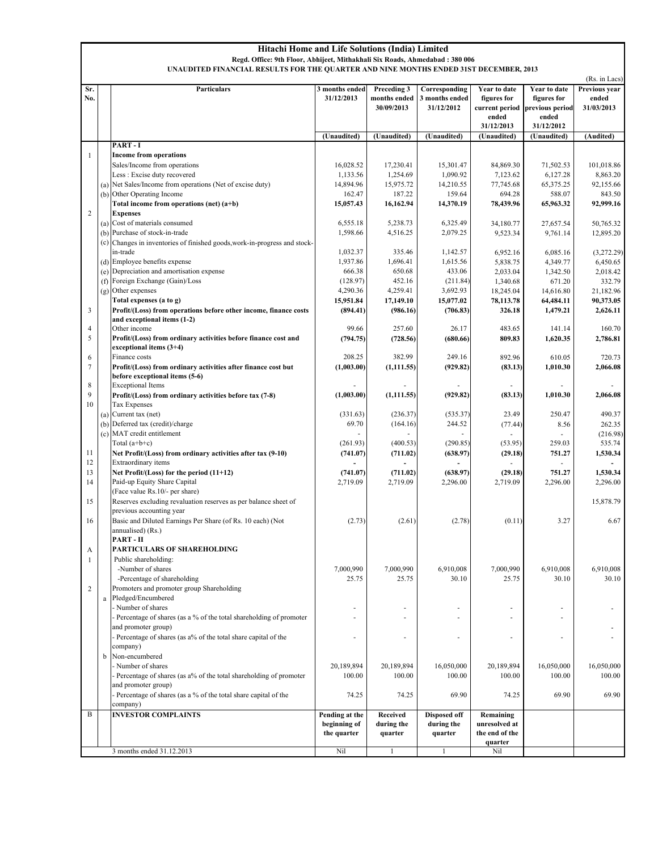## **Hitachi Home and Life Solutions (India) Limited Regd. Office: 9th Floor, Abhijeet, Mithakhali Six Roads, Ahmedabad : 380 006 UNAUDITED FINANCIAL RESULTS FOR THE QUARTER AND NINE MONTHS ENDED 31ST DECEMBER, 2013**

|              |     |                                                                                                 |                |              |                |                |                 | (Rs. in Lacs) |
|--------------|-----|-------------------------------------------------------------------------------------------------|----------------|--------------|----------------|----------------|-----------------|---------------|
| Sr.          |     | Particulars                                                                                     | 3 months ended | Preceding 3  | Corresponding  | Year to date   | Year to date    | Previous year |
| No.          |     |                                                                                                 | 31/12/2013     | months ended | 3 months ended | figures for    | figures for     | ended         |
|              |     |                                                                                                 |                | 30/09/2013   | 31/12/2012     | current period | previous period | 31/03/2013    |
|              |     |                                                                                                 |                |              |                | ended          | ended           |               |
|              |     |                                                                                                 |                |              |                | 31/12/2013     | 31/12/2012      |               |
|              |     |                                                                                                 | (Unaudited)    | (Unaudited)  | (Unaudited)    | (Unaudited)    | (Unaudited)     | (Audited)     |
|              |     | PART-I                                                                                          |                |              |                |                |                 |               |
| $\mathbf{1}$ |     | <b>Income from operations</b>                                                                   |                |              |                |                |                 |               |
|              |     | Sales/Income from operations                                                                    | 16,028.52      | 17,230.41    | 15,301.47      | 84,869.30      | 71,502.53       | 101,018.86    |
|              |     | Less : Excise duty recovered                                                                    | 1,133.56       | 1,254.69     | 1,090.92       | 7,123.62       | 6,127.28        | 8,863.20      |
|              | (a) | Net Sales/Income from operations (Net of excise duty)                                           | 14,894.96      | 15,975.72    | 14,210.55      | 77,745.68      | 65,375.25       | 92,155.66     |
|              |     | (b) Other Operating Income                                                                      | 162.47         | 187.22       | 159.64         | 694.28         | 588.07          | 843.50        |
|              |     | Total income from operations (net) (a+b)                                                        | 15,057.43      | 16,162.94    | 14,370.19      | 78,439.96      | 65,963.32       | 92,999.16     |
| $\sqrt{2}$   |     | <b>Expenses</b>                                                                                 |                |              |                |                |                 |               |
|              |     | (a) Cost of materials consumed                                                                  | 6,555.18       | 5,238.73     | 6,325.49       | 34,180.77      | 27,657.54       | 50,765.32     |
|              |     | (b) Purchase of stock-in-trade                                                                  | 1,598.66       | 4,516.25     | 2,079.25       | 9,523.34       | 9,761.14        | 12,895.20     |
|              |     | (c) Changes in inventories of finished goods, work-in-progress and stock-                       |                |              |                |                |                 |               |
|              |     | in-trade                                                                                        | 1,032.37       | 335.46       | 1,142.57       | 6,952.16       | 6,085.16        | (3,272.29)    |
|              |     | (d) Employee benefits expense                                                                   | 1,937.86       | 1,696.41     | 1,615.56       | 5,838.75       | 4,349.77        | 6,450.65      |
|              |     | (e) Depreciation and amortisation expense                                                       | 666.38         | 650.68       | 433.06         | 2,033.04       | 1,342.50        | 2,018.42      |
|              |     | (f) Foreign Exchange (Gain)/Loss                                                                | (128.97)       | 452.16       | (211.84)       | 1,340.68       | 671.20          | 332.79        |
|              | (g) | Other expenses                                                                                  | 4,290.36       | 4,259.41     | 3,692.93       | 18,245.04      | 14,616.80       | 21,182.96     |
|              |     | Total expenses (a to g)                                                                         | 15,951.84      | 17,149.10    | 15,077.02      | 78,113.78      | 64,484.11       | 90,373.05     |
| 3            |     |                                                                                                 | (894.41)       | (986.16)     | (706.83)       | 326.18         | 1,479.21        | 2,626.11      |
|              |     | Profit/(Loss) from operations before other income, finance costs<br>and exceptional items (1-2) |                |              |                |                |                 |               |
| 4            |     | Other income                                                                                    | 99.66          | 257.60       | 26.17          | 483.65         | 141.14          | 160.70        |
| 5            |     | Profit/(Loss) from ordinary activities before finance cost and                                  | (794.75)       | (728.56)     | (680.66)       | 809.83         | 1,620.35        | 2,786.81      |
|              |     | exceptional items (3+4)                                                                         |                |              |                |                |                 |               |
| 6            |     | Finance costs                                                                                   | 208.25         | 382.99       | 249.16         | 892.96         | 610.05          | 720.73        |
| 7            |     |                                                                                                 |                |              |                |                |                 |               |
|              |     | Profit/(Loss) from ordinary activities after finance cost but<br>before exceptional items (5-6) | (1,003.00)     | (1,111.55)   | (929.82)       | (83.13)        | 1,010.30        | 2,066.08      |
| 8            |     | <b>Exceptional Items</b>                                                                        |                |              |                |                |                 |               |
| 9            |     |                                                                                                 |                |              |                |                |                 |               |
| 10           |     | Profit/(Loss) from ordinary activities before tax (7-8)                                         | (1,003.00)     | (1,111.55)   | (929.82)       | (83.13)        | 1,010.30        | 2,066.08      |
|              |     | Tax Expenses                                                                                    |                |              |                |                |                 |               |
|              |     | (a) Current tax (net)                                                                           | (331.63)       | (236.37)     | (535.37)       | 23.49          | 250.47          | 490.37        |
|              |     | (b) Deferred tax (credit)/charge                                                                | 69.70          | (164.16)     | 244.52         | (77.44)        | 8.56            | 262.35        |
|              | (c) | MAT credit entitlement                                                                          |                |              |                |                |                 | (216.98)      |
|              |     | Total $(a+b+c)$                                                                                 | (261.93)       | (400.53)     | (290.85)       | (53.95)        | 259.03          | 535.74        |
| 11           |     | Net Profit/(Loss) from ordinary activities after tax (9-10)                                     | (741.07)       | (711.02)     | (638.97)       | (29.18)        | 751.27          | 1,530.34      |
| 12           |     | Extraordinary items                                                                             |                |              |                |                |                 |               |
| 13           |     | Net Profit/(Loss) for the period (11+12)                                                        | (741.07)       | (711.02)     | (638.97)       | (29.18)        | 751.27          | 1,530.34      |
| 14           |     | Paid-up Equity Share Capital                                                                    | 2,719.09       | 2,719.09     | 2,296.00       | 2,719.09       | 2,296.00        | 2,296.00      |
|              |     | (Face value Rs.10/- per share)                                                                  |                |              |                |                |                 |               |
| 15           |     | Reserves excluding revaluation reserves as per balance sheet of                                 |                |              |                |                |                 | 15,878.79     |
|              |     | previous accounting year                                                                        |                |              |                |                |                 |               |
| 16           |     | Basic and Diluted Earnings Per Share (of Rs. 10 each) (Not                                      | (2.73)         | (2.61)       | (2.78)         | (0.11)         | 3.27            | 6.67          |
|              |     | annualised) (Rs.)                                                                               |                |              |                |                |                 |               |
|              |     | PART-II                                                                                         |                |              |                |                |                 |               |
| A            |     | PARTICULARS OF SHAREHOLDING                                                                     |                |              |                |                |                 |               |
|              |     | Public shareholding:                                                                            |                |              |                |                |                 |               |
|              |     | -Number of shares                                                                               | 7,000,990      | 7,000,990    | 6,910,008      | 7,000,990      | 6,910,008       | 6,910,008     |
|              |     | -Percentage of shareholding                                                                     | 25.75          | 25.75        | 30.10          | 25.75          | 30.10           | 30.10         |
| $\sqrt{2}$   |     | Promoters and promoter group Shareholding                                                       |                |              |                |                |                 |               |
|              | a   | Pledged/Encumbered                                                                              |                |              |                |                |                 |               |
|              |     | Number of shares                                                                                |                | ٠            | ä,             | ٠              | ٠               |               |
|              |     | Percentage of shares (as a % of the total shareholding of promoter                              |                |              | ٠              |                |                 |               |
|              |     | and promoter group)                                                                             |                |              |                |                |                 |               |
|              |     | Percentage of shares (as a% of the total share capital of the                                   |                |              | ÷,             |                |                 |               |
|              |     |                                                                                                 |                | ٠            |                |                |                 |               |
|              |     | company)                                                                                        |                |              |                |                |                 |               |
|              | b   | Non-encumbered                                                                                  |                |              |                |                |                 |               |
|              |     | Number of shares                                                                                | 20,189,894     | 20,189,894   | 16,050,000     | 20,189,894     | 16,050,000      | 16,050,000    |
|              |     | Percentage of shares (as a% of the total shareholding of promoter                               | 100.00         | 100.00       | 100.00         | 100.00         | 100.00          | 100.00        |
|              |     | and promoter group)                                                                             |                |              |                |                |                 |               |
|              |     | Percentage of shares (as a % of the total share capital of the                                  | 74.25          | 74.25        | 69.90          | 74.25          | 69.90           | 69.90         |
|              |     | company)                                                                                        |                |              |                |                |                 |               |
| B            |     | <b>INVESTOR COMPLAINTS</b>                                                                      | Pending at the | Received     | Disposed off   | Remaining      |                 |               |
|              |     |                                                                                                 | beginning of   | during the   | during the     | unresolved at  |                 |               |
|              |     |                                                                                                 | the quarter    | quarter      | quarter        | the end of the |                 |               |
|              |     |                                                                                                 |                |              |                | quarter        |                 |               |
|              |     | 3 months ended 31.12.2013                                                                       | Nil            | $\mathbf{1}$ | $\mathbf{1}$   | Nil            |                 |               |